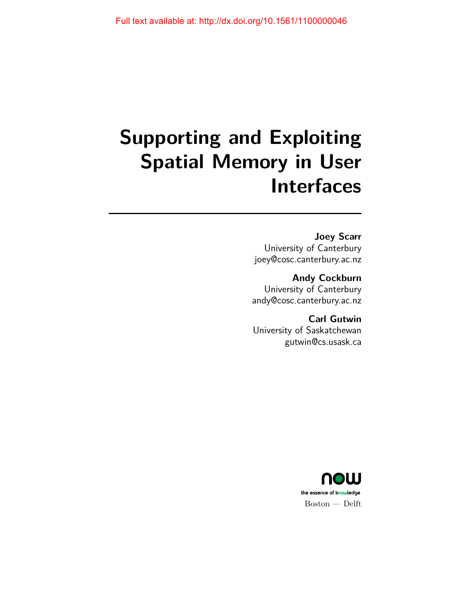# **Supporting and Exploiting Spatial Memory in User Interfaces**

**Joey Scarr** University of Canterbury joey@cosc.canterbury.ac.nz

**Andy Cockburn** University of Canterbury andy@cosc.canterbury.ac.nz

**Carl Gutwin** University of Saskatchewan gutwin@cs.usask.ca

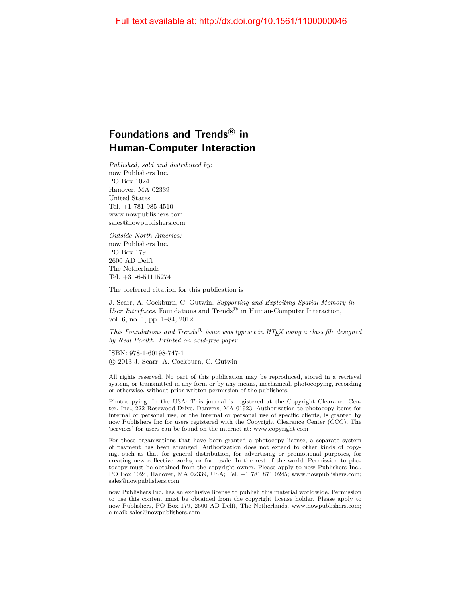### Foundations and Trends<sup>®</sup> in **Human-Computer Interaction**

*Published, sold and distributed by:* now Publishers Inc. PO Box 1024 Hanover, MA 02339 United States Tel. +1-781-985-4510 www.nowpublishers.com sales@nowpublishers.com

*Outside North America:* now Publishers Inc. PO Box 179 2600 AD Delft The Netherlands Tel. +31-6-51115274

The preferred citation for this publication is

J. Scarr, A. Cockburn, C. Gutwin. *Supporting and Exploiting Spatial Memory in* User Interfaces. Foundations and Trends<sup>®</sup> in Human-Computer Interaction, vol. 6, no. 1, pp. 1–84, 2012.

*This Foundations and Trends* <sup>R</sup> *issue was typeset in LATEX using a class file designed by Neal Parikh. Printed on acid-free paper.*

ISBN: 978-1-60198-747-1 c 2013 J. Scarr, A. Cockburn, C. Gutwin

All rights reserved. No part of this publication may be reproduced, stored in a retrieval system, or transmitted in any form or by any means, mechanical, photocopying, recording or otherwise, without prior written permission of the publishers.

Photocopying. In the USA: This journal is registered at the Copyright Clearance Center, Inc., 222 Rosewood Drive, Danvers, MA 01923. Authorization to photocopy items for internal or personal use, or the internal or personal use of specific clients, is granted by now Publishers Inc for users registered with the Copyright Clearance Center (CCC). The 'services' for users can be found on the internet at: www.copyright.com

For those organizations that have been granted a photocopy license, a separate system of payment has been arranged. Authorization does not extend to other kinds of copying, such as that for general distribution, for advertising or promotional purposes, for creating new collective works, or for resale. In the rest of the world: Permission to photocopy must be obtained from the copyright owner. Please apply to now Publishers Inc., PO Box 1024, Hanover, MA 02339, USA; Tel. +1 781 871 0245; www.nowpublishers.com; sales@nowpublishers.com

now Publishers Inc. has an exclusive license to publish this material worldwide. Permission to use this content must be obtained from the copyright license holder. Please apply to now Publishers, PO Box 179, 2600 AD Delft, The Netherlands, www.nowpublishers.com; e-mail: sales@nowpublishers.com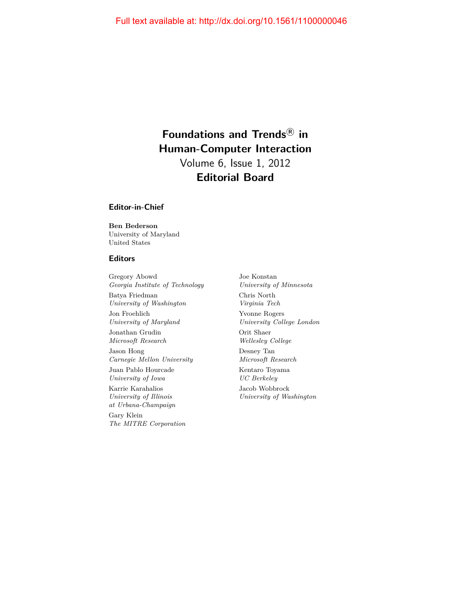## Foundations and Trends<sup>®</sup> in **Human-Computer Interaction** Volume 6, Issue 1, 2012 **Editorial Board**

#### **Editor-in-Chief**

**Ben Bederson** University of Maryland United States

#### **Editors**

Gregory Abowd *Georgia Institute of Technology*

Batya Friedman *University of Washington*

Jon Froehlich *University of Maryland*

Jonathan Grudin *Microsoft Research*

Jason Hong *Carnegie Mellon University*

Juan Pablo Hourcade *University of Iowa*

Karrie Karahalios *University of Illinois at Urbana-Champaign*

Gary Klein *The MITRE Corporation* Joe Konstan *University of Minnesota* Chris North *Virginia Tech* Yvonne Rogers *University College London* Orit Shaer *Wellesley College* Desney Tan *Microsoft Research* Kentaro Toyama *UC Berkeley* Jacob Wobbrock *University of Washington*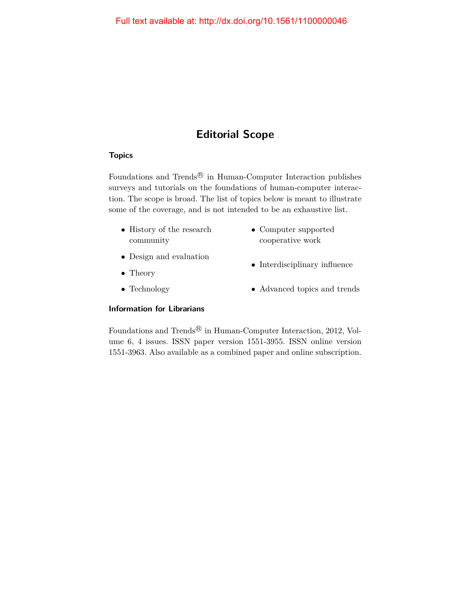### **Editorial Scope**

#### **Topics**

Foundations and Trends<sup>®</sup> in Human-Computer Interaction publishes surveys and tutorials on the foundations of human-computer interaction. The scope is broad. The list of topics below is meant to illustrate some of the coverage, and is not intended to be an exhaustive list.

- History of the research community
- Computer supported cooperative work
- Design and evaluation
- Theory

• Technology

• Advanced topics and trends

• Interdisciplinary influence

### **Information for Librarians**

Foundations and Trends<sup>®</sup> in Human-Computer Interaction, 2012, Volume 6, 4 issues. ISSN paper version 1551-3955. ISSN online version 1551-3963. Also available as a combined paper and online subscription.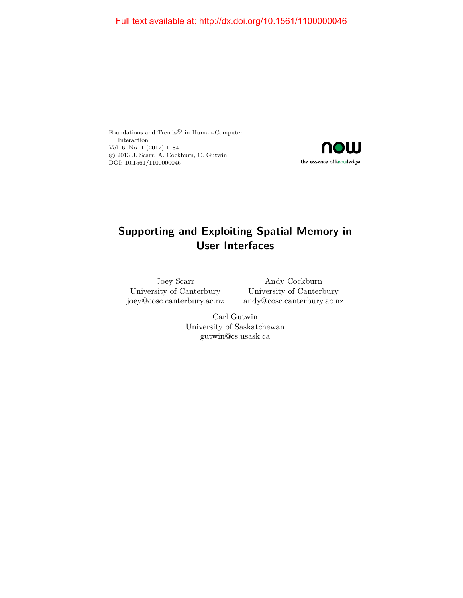Foundations and Trends<sup> $\textcircled{B}$ </sup> in Human-Computer Interaction Vol. 6, No. 1 (2012) 1–84 -c 2013 J. Scarr, A. Cockburn, C. Gutwin DOI: 10.1561/1100000046



### **Supporting and Exploiting Spatial Memory in User Interfaces**

Joey Scarr University of Canterbury joey@cosc.canterbury.ac.nz

Andy Cockburn University of Canterbury andy@cosc.canterbury.ac.nz

Carl Gutwin University of Saskatchewan gutwin@cs.usask.ca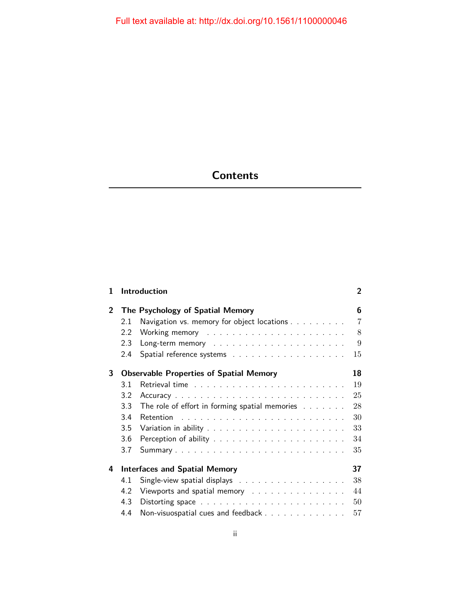## **Contents**

| 1            | <b>Introduction</b>                  |                                                                                     | $\overline{2}$ |
|--------------|--------------------------------------|-------------------------------------------------------------------------------------|----------------|
| $\mathbf{p}$ |                                      | The Psychology of Spatial Memory                                                    | 6              |
|              | 2.1                                  | Navigation vs. memory for object locations                                          | 7              |
|              | 2.2                                  |                                                                                     | 8              |
|              | 2.3                                  | Long-term memory $\ldots \ldots \ldots \ldots \ldots \ldots \ldots$                 | 9              |
|              | 2.4                                  |                                                                                     | 15             |
| 3            |                                      | <b>Observable Properties of Spatial Memory</b>                                      | 18             |
|              | 3.1                                  |                                                                                     | 19             |
|              | 3.2                                  |                                                                                     | 25             |
|              | $3.3\phantom{0}$                     | The role of effort in forming spatial memories $\ldots$                             | 28             |
|              | 3.4                                  |                                                                                     | 30             |
|              | 3.5                                  |                                                                                     | 33             |
|              | 3.6                                  |                                                                                     | 34             |
|              | 3.7                                  |                                                                                     | 35             |
| 4            | <b>Interfaces and Spatial Memory</b> |                                                                                     | 37             |
|              | 4.1                                  | Single-view spatial displays                                                        | 38             |
|              | 4.2                                  | Viewports and spatial memory resonance and such a series of the Viewer and Superior | 44             |
|              | 4.3                                  |                                                                                     | 50             |
|              | 4.4                                  | Non-visuospatial cues and feedback                                                  | 57             |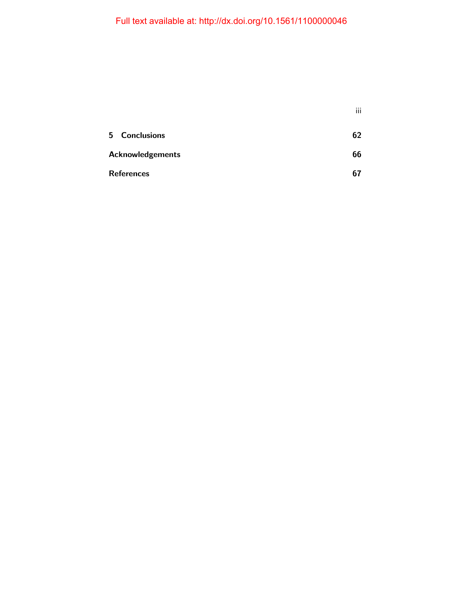|                         | <br>Ш |
|-------------------------|-------|
| 5 Conclusions           | 62    |
| <b>Acknowledgements</b> |       |
| <b>References</b>       | 67    |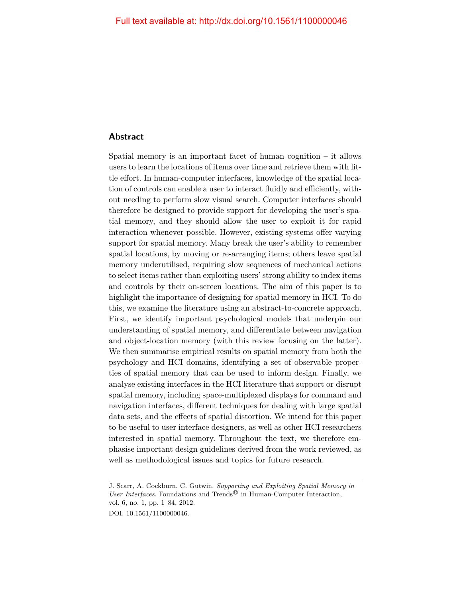#### **Abstract**

Spatial memory is an important facet of human cognition – it allows users to learn the locations of items over time and retrieve them with little effort. In human-computer interfaces, knowledge of the spatial location of controls can enable a user to interact fluidly and efficiently, without needing to perform slow visual search. Computer interfaces should therefore be designed to provide support for developing the user's spatial memory, and they should allow the user to exploit it for rapid interaction whenever possible. However, existing systems offer varying support for spatial memory. Many break the user's ability to remember spatial locations, by moving or re-arranging items; others leave spatial memory underutilised, requiring slow sequences of mechanical actions to select items rather than exploiting users' strong ability to index items and controls by their on-screen locations. The aim of this paper is to highlight the importance of designing for spatial memory in HCI. To do this, we examine the literature using an abstract-to-concrete approach. First, we identify important psychological models that underpin our understanding of spatial memory, and differentiate between navigation and object-location memory (with this review focusing on the latter). We then summarise empirical results on spatial memory from both the psychology and HCI domains, identifying a set of observable properties of spatial memory that can be used to inform design. Finally, we analyse existing interfaces in the HCI literature that support or disrupt spatial memory, including space-multiplexed displays for command and navigation interfaces, different techniques for dealing with large spatial data sets, and the effects of spatial distortion. We intend for this paper to be useful to user interface designers, as well as other HCI researchers interested in spatial memory. Throughout the text, we therefore emphasise important design guidelines derived from the work reviewed, as well as methodological issues and topics for future research.

J. Scarr, A. Cockburn, C. Gutwin. *Supporting and Exploiting Spatial Memory in* User Interfaces. Foundations and Trends<sup>®</sup> in Human-Computer Interaction, vol. 6, no. 1, pp. 1–84, 2012. DOI: 10.1561/1100000046.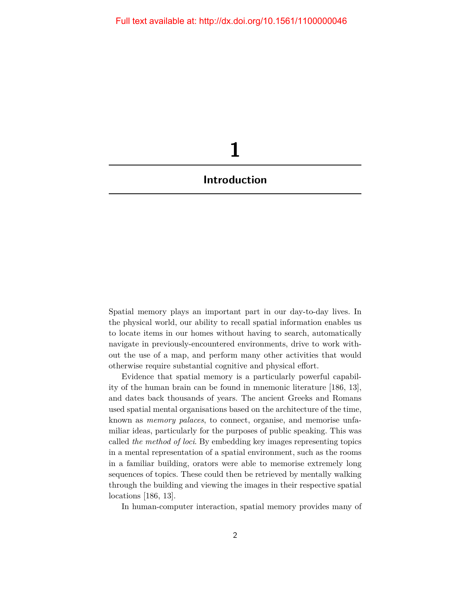# **1**

### **Introduction**

Spatial memory plays an important part in our day-to-day lives. In the physical world, our ability to recall spatial information enables us to locate items in our homes without having to search, automatically navigate in previously-encountered environments, drive to work without the use of a map, and perform many other activities that would otherwise require substantial cognitive and physical effort.

Evidence that spatial memory is a particularly powerful capability of the human brain can be found in mnemonic literature [186, 13], and dates back thousands of years. The ancient Greeks and Romans used spatial mental organisations based on the architecture of the time, known as *memory palaces*, to connect, organise, and memorise unfamiliar ideas, particularly for the purposes of public speaking. This was called *the method of loci*. By embedding key images representing topics in a mental representation of a spatial environment, such as the rooms in a familiar building, orators were able to memorise extremely long sequences of topics. These could then be retrieved by mentally walking through the building and viewing the images in their respective spatial locations [186, 13].

In human-computer interaction, spatial memory provides many of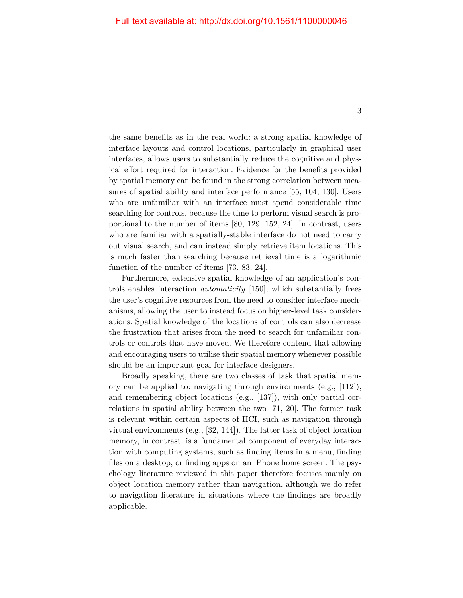the same benefits as in the real world: a strong spatial knowledge of interface layouts and control locations, particularly in graphical user interfaces, allows users to substantially reduce the cognitive and physical effort required for interaction. Evidence for the benefits provided by spatial memory can be found in the strong correlation between measures of spatial ability and interface performance [55, 104, 130]. Users who are unfamiliar with an interface must spend considerable time searching for controls, because the time to perform visual search is proportional to the number of items [80, 129, 152, 24]. In contrast, users who are familiar with a spatially-stable interface do not need to carry out visual search, and can instead simply retrieve item locations. This is much faster than searching because retrieval time is a logarithmic function of the number of items [73, 83, 24].

Furthermore, extensive spatial knowledge of an application's controls enables interaction *automaticity* [150], which substantially frees the user's cognitive resources from the need to consider interface mechanisms, allowing the user to instead focus on higher-level task considerations. Spatial knowledge of the locations of controls can also decrease the frustration that arises from the need to search for unfamiliar controls or controls that have moved. We therefore contend that allowing and encouraging users to utilise their spatial memory whenever possible should be an important goal for interface designers.

Broadly speaking, there are two classes of task that spatial memory can be applied to: navigating through environments (e.g., [112]), and remembering object locations (e.g., [137]), with only partial correlations in spatial ability between the two [71, 20]. The former task is relevant within certain aspects of HCI, such as navigation through virtual environments (e.g., [32, 144]). The latter task of object location memory, in contrast, is a fundamental component of everyday interaction with computing systems, such as finding items in a menu, finding files on a desktop, or finding apps on an iPhone home screen. The psychology literature reviewed in this paper therefore focuses mainly on object location memory rather than navigation, although we do refer to navigation literature in situations where the findings are broadly applicable.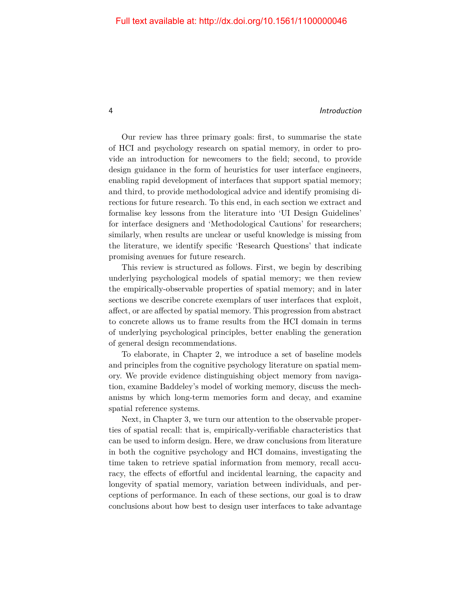#### 4 Introduction

Our review has three primary goals: first, to summarise the state of HCI and psychology research on spatial memory, in order to provide an introduction for newcomers to the field; second, to provide design guidance in the form of heuristics for user interface engineers, enabling rapid development of interfaces that support spatial memory; and third, to provide methodological advice and identify promising directions for future research. To this end, in each section we extract and formalise key lessons from the literature into 'UI Design Guidelines' for interface designers and 'Methodological Cautions' for researchers; similarly, when results are unclear or useful knowledge is missing from the literature, we identify specific 'Research Questions' that indicate promising avenues for future research.

This review is structured as follows. First, we begin by describing underlying psychological models of spatial memory; we then review the empirically-observable properties of spatial memory; and in later sections we describe concrete exemplars of user interfaces that exploit, affect, or are affected by spatial memory. This progression from abstract to concrete allows us to frame results from the HCI domain in terms of underlying psychological principles, better enabling the generation of general design recommendations.

To elaborate, in Chapter 2, we introduce a set of baseline models and principles from the cognitive psychology literature on spatial memory. We provide evidence distinguishing object memory from navigation, examine Baddeley's model of working memory, discuss the mechanisms by which long-term memories form and decay, and examine spatial reference systems.

Next, in Chapter 3, we turn our attention to the observable properties of spatial recall: that is, empirically-verifiable characteristics that can be used to inform design. Here, we draw conclusions from literature in both the cognitive psychology and HCI domains, investigating the time taken to retrieve spatial information from memory, recall accuracy, the effects of effortful and incidental learning, the capacity and longevity of spatial memory, variation between individuals, and perceptions of performance. In each of these sections, our goal is to draw conclusions about how best to design user interfaces to take advantage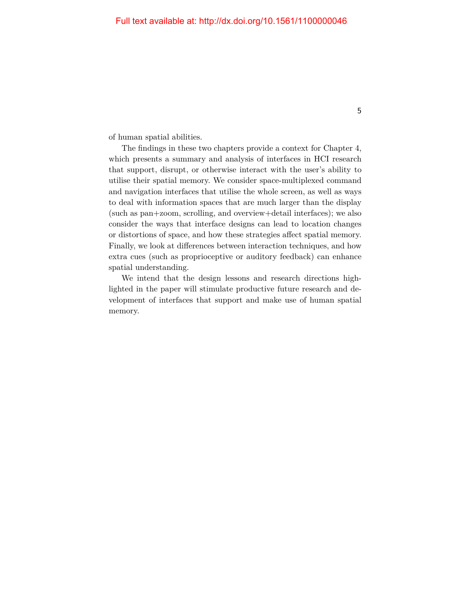of human spatial abilities.

The findings in these two chapters provide a context for Chapter 4, which presents a summary and analysis of interfaces in HCI research that support, disrupt, or otherwise interact with the user's ability to utilise their spatial memory. We consider space-multiplexed command and navigation interfaces that utilise the whole screen, as well as ways to deal with information spaces that are much larger than the display (such as pan+zoom, scrolling, and overview+detail interfaces); we also consider the ways that interface designs can lead to location changes or distortions of space, and how these strategies affect spatial memory. Finally, we look at differences between interaction techniques, and how extra cues (such as proprioceptive or auditory feedback) can enhance spatial understanding.

We intend that the design lessons and research directions highlighted in the paper will stimulate productive future research and development of interfaces that support and make use of human spatial memory.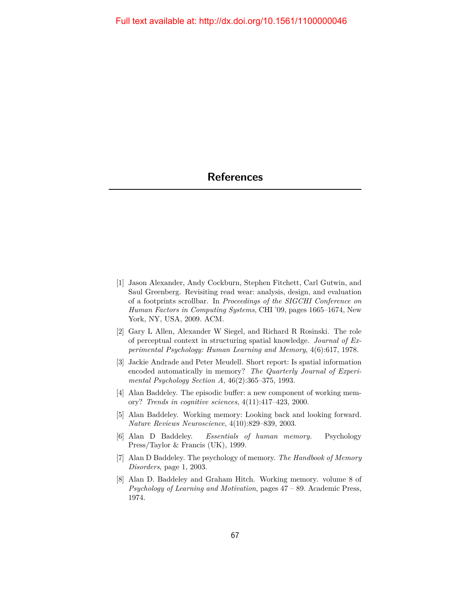- [1] Jason Alexander, Andy Cockburn, Stephen Fitchett, Carl Gutwin, and Saul Greenberg. Revisiting read wear: analysis, design, and evaluation of a footprints scrollbar. In *Proceedings of the SIGCHI Conference on Human Factors in Computing Systems*, CHI '09, pages 1665–1674, New York, NY, USA, 2009. ACM.
- [2] Gary L Allen, Alexander W Siegel, and Richard R Rosinski. The role of perceptual context in structuring spatial knowledge. *Journal of Experimental Psychology: Human Learning and Memory*, 4(6):617, 1978.
- [3] Jackie Andrade and Peter Meudell. Short report: Is spatial information encoded automatically in memory? *The Quarterly Journal of Experimental Psychology Section A*, 46(2):365–375, 1993.
- [4] Alan Baddeley. The episodic buffer: a new component of working memory? *Trends in cognitive sciences*, 4(11):417–423, 2000.
- [5] Alan Baddeley. Working memory: Looking back and looking forward. *Nature Reviews Neuroscience*, 4(10):829–839, 2003.
- [6] Alan D Baddeley. *Essentials of human memory.* Psychology Press/Taylor & Francis (UK), 1999.
- [7] Alan D Baddeley. The psychology of memory. *The Handbook of Memory Disorders*, page 1, 2003.
- [8] Alan D. Baddeley and Graham Hitch. Working memory. volume 8 of *Psychology of Learning and Motivation*, pages 47 – 89. Academic Press, 1974.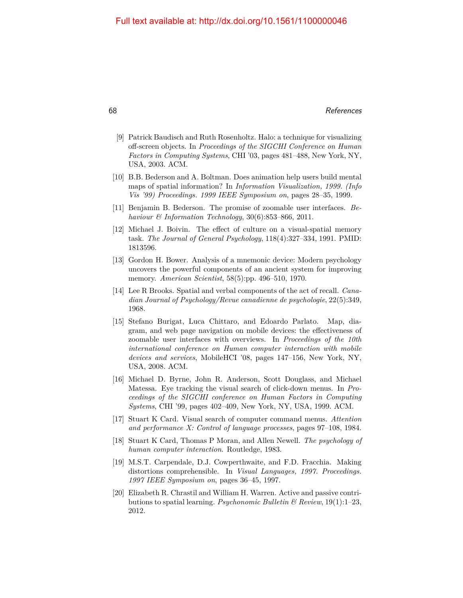#### Full text available at: http://dx.doi.org/10.1561/1100000046

- [9] Patrick Baudisch and Ruth Rosenholtz. Halo: a technique for visualizing off-screen objects. In *Proceedings of the SIGCHI Conference on Human Factors in Computing Systems*, CHI '03, pages 481–488, New York, NY, USA, 2003. ACM.
- [10] B.B. Bederson and A. Boltman. Does animation help users build mental maps of spatial information? In *Information Visualization, 1999. (Info Vis '99) Proceedings. 1999 IEEE Symposium on*, pages 28–35, 1999.
- [11] Benjamin B. Bederson. The promise of zoomable user interfaces. *Behaviour & Information Technology*, 30(6):853–866, 2011.
- [12] Michael J. Boivin. The effect of culture on a visual-spatial memory task. *The Journal of General Psychology*, 118(4):327–334, 1991. PMID: 1813596.
- [13] Gordon H. Bower. Analysis of a mnemonic device: Modern psychology uncovers the powerful components of an ancient system for improving memory. *American Scientist*, 58(5):pp. 496–510, 1970.
- [14] Lee R Brooks. Spatial and verbal components of the act of recall. *Canadian Journal of Psychology/Revue canadienne de psychologie*, 22(5):349, 1968.
- [15] Stefano Burigat, Luca Chittaro, and Edoardo Parlato. Map, diagram, and web page navigation on mobile devices: the effectiveness of zoomable user interfaces with overviews. In *Proceedings of the 10th international conference on Human computer interaction with mobile devices and services*, MobileHCI '08, pages 147–156, New York, NY, USA, 2008. ACM.
- [16] Michael D. Byrne, John R. Anderson, Scott Douglass, and Michael Matessa. Eye tracking the visual search of click-down menus. In *Proceedings of the SIGCHI conference on Human Factors in Computing Systems*, CHI '99, pages 402–409, New York, NY, USA, 1999. ACM.
- [17] Stuart K Card. Visual search of computer command menus. *Attention and performance X: Control of language processes*, pages 97–108, 1984.
- [18] Stuart K Card, Thomas P Moran, and Allen Newell. *The psychology of human computer interaction*. Routledge, 1983.
- [19] M.S.T. Carpendale, D.J. Cowperthwaite, and F.D. Fracchia. Making distortions comprehensible. In *Visual Languages, 1997. Proceedings. 1997 IEEE Symposium on*, pages 36–45, 1997.
- [20] Elizabeth R. Chrastil and William H. Warren. Active and passive contributions to spatial learning. *Psychonomic Bulletin & Review*, 19(1):1–23, 2012.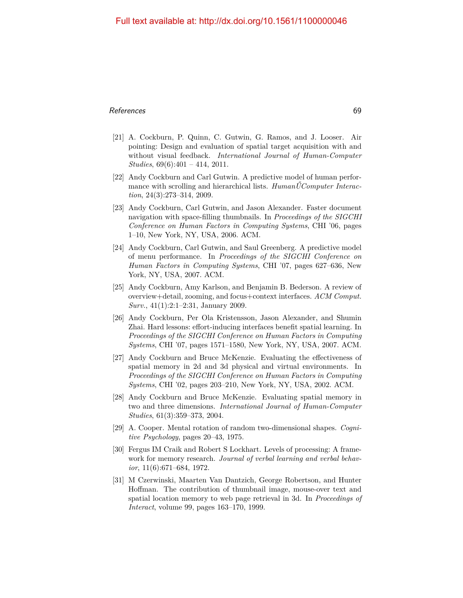- [21] A. Cockburn, P. Quinn, C. Gutwin, G. Ramos, and J. Looser. Air pointing: Design and evaluation of spatial target acquisition with and without visual feedback. *International Journal of Human-Computer Studies*, 69(6):401 – 414, 2011.
- [22] Andy Cockburn and Carl Gutwin. A predictive model of human performance with scrolling and hierarchical lists. *HumanŰComputer Interaction*, 24(3):273–314, 2009.
- [23] Andy Cockburn, Carl Gutwin, and Jason Alexander. Faster document navigation with space-filling thumbnails. In *Proceedings of the SIGCHI Conference on Human Factors in Computing Systems*, CHI '06, pages 1–10, New York, NY, USA, 2006. ACM.
- [24] Andy Cockburn, Carl Gutwin, and Saul Greenberg. A predictive model of menu performance. In *Proceedings of the SIGCHI Conference on Human Factors in Computing Systems*, CHI '07, pages 627–636, New York, NY, USA, 2007. ACM.
- [25] Andy Cockburn, Amy Karlson, and Benjamin B. Bederson. A review of overview+detail, zooming, and focus+context interfaces. *ACM Comput. Surv.*, 41(1):2:1–2:31, January 2009.
- [26] Andy Cockburn, Per Ola Kristensson, Jason Alexander, and Shumin Zhai. Hard lessons: effort-inducing interfaces benefit spatial learning. In *Proceedings of the SIGCHI Conference on Human Factors in Computing Systems*, CHI '07, pages 1571–1580, New York, NY, USA, 2007. ACM.
- [27] Andy Cockburn and Bruce McKenzie. Evaluating the effectiveness of spatial memory in 2d and 3d physical and virtual environments. In *Proceedings of the SIGCHI Conference on Human Factors in Computing Systems*, CHI '02, pages 203–210, New York, NY, USA, 2002. ACM.
- [28] Andy Cockburn and Bruce McKenzie. Evaluating spatial memory in two and three dimensions. *International Journal of Human-Computer Studies*, 61(3):359–373, 2004.
- [29] A. Cooper. Mental rotation of random two-dimensional shapes. *Cognitive Psychology*, pages 20–43, 1975.
- [30] Fergus IM Craik and Robert S Lockhart. Levels of processing: A framework for memory research. *Journal of verbal learning and verbal behavior*, 11(6):671–684, 1972.
- [31] M Czerwinski, Maarten Van Dantzich, George Robertson, and Hunter Hoffman. The contribution of thumbnail image, mouse-over text and spatial location memory to web page retrieval in 3d. In *Proceedings of Interact*, volume 99, pages 163–170, 1999.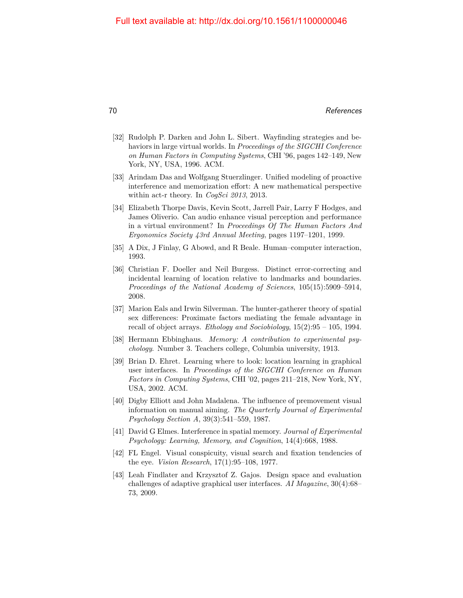- [32] Rudolph P. Darken and John L. Sibert. Wayfinding strategies and behaviors in large virtual worlds. In *Proceedings of the SIGCHI Conference on Human Factors in Computing Systems*, CHI '96, pages 142–149, New York, NY, USA, 1996. ACM.
- [33] Arindam Das and Wolfgang Stuerzlinger. Unified modeling of proactive interference and memorization effort: A new mathematical perspective within act-r theory. In *CogSci 2013*, 2013.
- [34] Elizabeth Thorpe Davis, Kevin Scott, Jarrell Pair, Larry F Hodges, and James Oliverio. Can audio enhance visual perception and performance in a virtual environment? In *Proceedings Of The Human Factors And Ergonomics Society 43rd Annual Meeting*, pages 1197–1201, 1999.
- [35] A Dix, J Finlay, G Abowd, and R Beale. Human–computer interaction, 1993.
- [36] Christian F. Doeller and Neil Burgess. Distinct error-correcting and incidental learning of location relative to landmarks and boundaries. *Proceedings of the National Academy of Sciences*, 105(15):5909–5914, 2008.
- [37] Marion Eals and Irwin Silverman. The hunter-gatherer theory of spatial sex differences: Proximate factors mediating the female advantage in recall of object arrays. *Ethology and Sociobiology*, 15(2):95 – 105, 1994.
- [38] Hermann Ebbinghaus. *Memory: A contribution to experimental psychology*. Number 3. Teachers college, Columbia university, 1913.
- [39] Brian D. Ehret. Learning where to look: location learning in graphical user interfaces. In *Proceedings of the SIGCHI Conference on Human Factors in Computing Systems*, CHI '02, pages 211–218, New York, NY, USA, 2002. ACM.
- [40] Digby Elliott and John Madalena. The influence of premovement visual information on manual aiming. *The Quarterly Journal of Experimental Psychology Section A*, 39(3):541–559, 1987.
- [41] David G Elmes. Interference in spatial memory. *Journal of Experimental Psychology: Learning, Memory, and Cognition*, 14(4):668, 1988.
- [42] FL Engel. Visual conspicuity, visual search and fixation tendencies of the eye. *Vision Research*, 17(1):95–108, 1977.
- [43] Leah Findlater and Krzysztof Z. Gajos. Design space and evaluation challenges of adaptive graphical user interfaces. *AI Magazine*, 30(4):68– 73, 2009.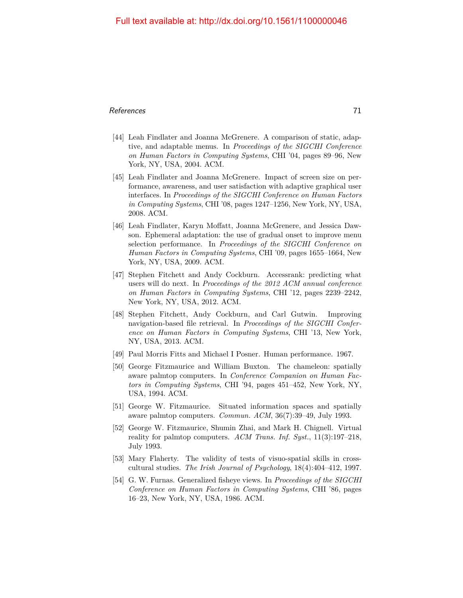- [44] Leah Findlater and Joanna McGrenere. A comparison of static, adaptive, and adaptable menus. In *Proceedings of the SIGCHI Conference on Human Factors in Computing Systems*, CHI '04, pages 89–96, New York, NY, USA, 2004. ACM.
- [45] Leah Findlater and Joanna McGrenere. Impact of screen size on performance, awareness, and user satisfaction with adaptive graphical user interfaces. In *Proceedings of the SIGCHI Conference on Human Factors in Computing Systems*, CHI '08, pages 1247–1256, New York, NY, USA, 2008. ACM.
- [46] Leah Findlater, Karyn Moffatt, Joanna McGrenere, and Jessica Dawson. Ephemeral adaptation: the use of gradual onset to improve menu selection performance. In *Proceedings of the SIGCHI Conference on Human Factors in Computing Systems*, CHI '09, pages 1655–1664, New York, NY, USA, 2009. ACM.
- [47] Stephen Fitchett and Andy Cockburn. Accessrank: predicting what users will do next. In *Proceedings of the 2012 ACM annual conference on Human Factors in Computing Systems*, CHI '12, pages 2239–2242, New York, NY, USA, 2012. ACM.
- [48] Stephen Fitchett, Andy Cockburn, and Carl Gutwin. Improving navigation-based file retrieval. In *Proceedings of the SIGCHI Conference on Human Factors in Computing Systems*, CHI '13, New York, NY, USA, 2013. ACM.
- [49] Paul Morris Fitts and Michael I Posner. Human performance. 1967.
- [50] George Fitzmaurice and William Buxton. The chameleon: spatially aware palmtop computers. In *Conference Companion on Human Factors in Computing Systems*, CHI '94, pages 451–452, New York, NY, USA, 1994. ACM.
- [51] George W. Fitzmaurice. Situated information spaces and spatially aware palmtop computers. *Commun. ACM*, 36(7):39–49, July 1993.
- [52] George W. Fitzmaurice, Shumin Zhai, and Mark H. Chignell. Virtual reality for palmtop computers. *ACM Trans. Inf. Syst.*, 11(3):197–218, July 1993.
- [53] Mary Flaherty. The validity of tests of visuo-spatial skills in crosscultural studies. *The Irish Journal of Psychology*, 18(4):404–412, 1997.
- [54] G. W. Furnas. Generalized fisheye views. In *Proceedings of the SIGCHI Conference on Human Factors in Computing Systems*, CHI '86, pages 16–23, New York, NY, USA, 1986. ACM.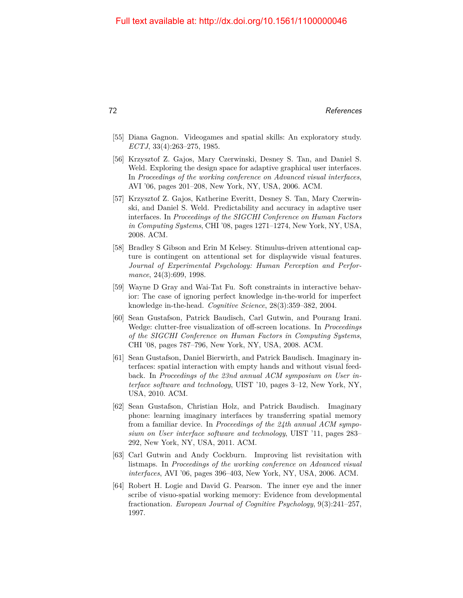- [55] Diana Gagnon. Videogames and spatial skills: An exploratory study. *ECTJ*, 33(4):263–275, 1985.
- [56] Krzysztof Z. Gajos, Mary Czerwinski, Desney S. Tan, and Daniel S. Weld. Exploring the design space for adaptive graphical user interfaces. In *Proceedings of the working conference on Advanced visual interfaces*, AVI '06, pages 201–208, New York, NY, USA, 2006. ACM.
- [57] Krzysztof Z. Gajos, Katherine Everitt, Desney S. Tan, Mary Czerwinski, and Daniel S. Weld. Predictability and accuracy in adaptive user interfaces. In *Proceedings of the SIGCHI Conference on Human Factors in Computing Systems*, CHI '08, pages 1271–1274, New York, NY, USA, 2008. ACM.
- [58] Bradley S Gibson and Erin M Kelsey. Stimulus-driven attentional capture is contingent on attentional set for displaywide visual features. *Journal of Experimental Psychology: Human Perception and Performance*, 24(3):699, 1998.
- [59] Wayne D Gray and Wai-Tat Fu. Soft constraints in interactive behavior: The case of ignoring perfect knowledge in-the-world for imperfect knowledge in-the-head. *Cognitive Science*, 28(3):359–382, 2004.
- [60] Sean Gustafson, Patrick Baudisch, Carl Gutwin, and Pourang Irani. Wedge: clutter-free visualization of off-screen locations. In *Proceedings of the SIGCHI Conference on Human Factors in Computing Systems*, CHI '08, pages 787–796, New York, NY, USA, 2008. ACM.
- [61] Sean Gustafson, Daniel Bierwirth, and Patrick Baudisch. Imaginary interfaces: spatial interaction with empty hands and without visual feedback. In *Proceedings of the 23nd annual ACM symposium on User interface software and technology*, UIST '10, pages 3–12, New York, NY, USA, 2010. ACM.
- [62] Sean Gustafson, Christian Holz, and Patrick Baudisch. Imaginary phone: learning imaginary interfaces by transferring spatial memory from a familiar device. In *Proceedings of the 24th annual ACM symposium on User interface software and technology*, UIST '11, pages 283– 292, New York, NY, USA, 2011. ACM.
- [63] Carl Gutwin and Andy Cockburn. Improving list revisitation with listmaps. In *Proceedings of the working conference on Advanced visual interfaces*, AVI '06, pages 396–403, New York, NY, USA, 2006. ACM.
- [64] Robert H. Logie and David G. Pearson. The inner eye and the inner scribe of visuo-spatial working memory: Evidence from developmental fractionation. *European Journal of Cognitive Psychology*, 9(3):241–257, 1997.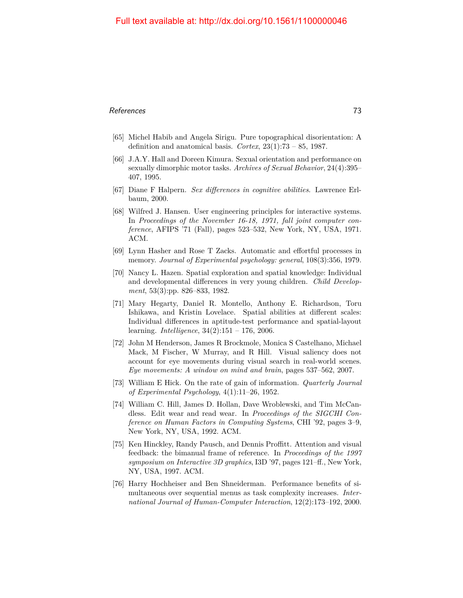- [65] Michel Habib and Angela Sirigu. Pure topographical disorientation: A definition and anatomical basis. *Cortex*, 23(1):73 – 85, 1987.
- [66] J.A.Y. Hall and Doreen Kimura. Sexual orientation and performance on sexually dimorphic motor tasks. *Archives of Sexual Behavior*, 24(4):395– 407, 1995.
- [67] Diane F Halpern. *Sex differences in cognitive abilities*. Lawrence Erlbaum, 2000.
- [68] Wilfred J. Hansen. User engineering principles for interactive systems. In *Proceedings of the November 16-18, 1971, fall joint computer conference*, AFIPS '71 (Fall), pages 523–532, New York, NY, USA, 1971. ACM.
- [69] Lynn Hasher and Rose T Zacks. Automatic and effortful processes in memory. *Journal of Experimental psychology: general*, 108(3):356, 1979.
- [70] Nancy L. Hazen. Spatial exploration and spatial knowledge: Individual and developmental differences in very young children. *Child Development*, 53(3):pp. 826–833, 1982.
- [71] Mary Hegarty, Daniel R. Montello, Anthony E. Richardson, Toru Ishikawa, and Kristin Lovelace. Spatial abilities at different scales: Individual differences in aptitude-test performance and spatial-layout learning. *Intelligence*, 34(2):151 – 176, 2006.
- [72] John M Henderson, James R Brockmole, Monica S Castelhano, Michael Mack, M Fischer, W Murray, and R Hill. Visual saliency does not account for eye movements during visual search in real-world scenes. *Eye movements: A window on mind and brain*, pages 537–562, 2007.
- [73] William E Hick. On the rate of gain of information. *Quarterly Journal of Experimental Psychology*, 4(1):11–26, 1952.
- [74] William C. Hill, James D. Hollan, Dave Wroblewski, and Tim McCandless. Edit wear and read wear. In *Proceedings of the SIGCHI Conference on Human Factors in Computing Systems*, CHI '92, pages 3–9, New York, NY, USA, 1992. ACM.
- [75] Ken Hinckley, Randy Pausch, and Dennis Proffitt. Attention and visual feedback: the bimanual frame of reference. In *Proceedings of the 1997 symposium on Interactive 3D graphics*, I3D '97, pages 121–ff., New York, NY, USA, 1997. ACM.
- [76] Harry Hochheiser and Ben Shneiderman. Performance benefits of simultaneous over sequential menus as task complexity increases. *International Journal of Human-Computer Interaction*, 12(2):173–192, 2000.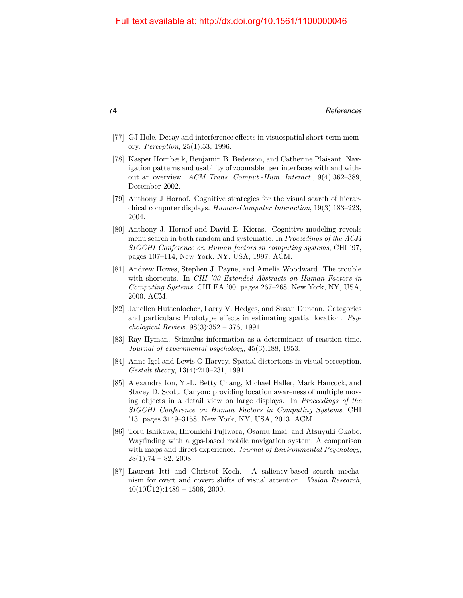- [77] GJ Hole. Decay and interference effects in visuospatial short-term memory. *Perception*, 25(1):53, 1996.
- [78] Kasper Hornbæ k, Benjamin B. Bederson, and Catherine Plaisant. Navigation patterns and usability of zoomable user interfaces with and without an overview. *ACM Trans. Comput.-Hum. Interact.*, 9(4):362–389, December 2002.
- [79] Anthony J Hornof. Cognitive strategies for the visual search of hierarchical computer displays. *Human-Computer Interaction*, 19(3):183–223, 2004.
- [80] Anthony J. Hornof and David E. Kieras. Cognitive modeling reveals menu search in both random and systematic. In *Proceedings of the ACM SIGCHI Conference on Human factors in computing systems*, CHI '97, pages 107–114, New York, NY, USA, 1997. ACM.
- [81] Andrew Howes, Stephen J. Payne, and Amelia Woodward. The trouble with shortcuts. In *CHI '00 Extended Abstracts on Human Factors in Computing Systems*, CHI EA '00, pages 267–268, New York, NY, USA, 2000. ACM.
- [82] Janellen Huttenlocher, Larry V. Hedges, and Susan Duncan. Categories and particulars: Prototype effects in estimating spatial location. *Psychological Review*, 98(3):352 – 376, 1991.
- [83] Ray Hyman. Stimulus information as a determinant of reaction time. *Journal of experimental psychology*, 45(3):188, 1953.
- [84] Anne Igel and Lewis O Harvey. Spatial distortions in visual perception. *Gestalt theory*, 13(4):210–231, 1991.
- [85] Alexandra Ion, Y.-L. Betty Chang, Michael Haller, Mark Hancock, and Stacey D. Scott. Canyon: providing location awareness of multiple moving objects in a detail view on large displays. In *Proceedings of the SIGCHI Conference on Human Factors in Computing Systems*, CHI '13, pages 3149–3158, New York, NY, USA, 2013. ACM.
- [86] Toru Ishikawa, Hiromichi Fujiwara, Osamu Imai, and Atsuyuki Okabe. Wayfinding with a gps-based mobile navigation system: A comparison with maps and direct experience. *Journal of Environmental Psychology*,  $28(1):74 - 82, 2008.$
- [87] Laurent Itti and Christof Koch. A saliency-based search mechanism for overt and covert shifts of visual attention. *Vision Research*,  $40(10\overline{U}12):1489 - 1506, 2000.$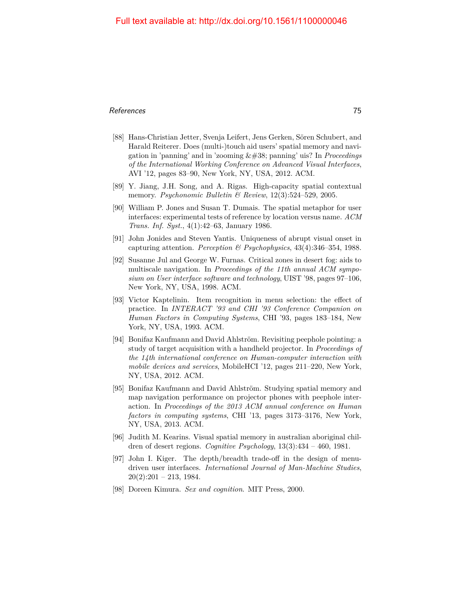- [88] Hans-Christian Jetter, Svenja Leifert, Jens Gerken, Sören Schubert, and Harald Reiterer. Does (multi-)touch aid users' spatial memory and navigation in 'panning' and in 'zooming & #38; panning' uis? In *Proceedings of the International Working Conference on Advanced Visual Interfaces*, AVI '12, pages 83–90, New York, NY, USA, 2012. ACM.
- [89] Y. Jiang, J.H. Song, and A. Rigas. High-capacity spatial contextual memory. *Psychonomic Bulletin & Review*, 12(3):524–529, 2005.
- [90] William P. Jones and Susan T. Dumais. The spatial metaphor for user interfaces: experimental tests of reference by location versus name. *ACM Trans. Inf. Syst.*, 4(1):42–63, January 1986.
- [91] John Jonides and Steven Yantis. Uniqueness of abrupt visual onset in capturing attention. *Perception & Psychophysics*, 43(4):346–354, 1988.
- [92] Susanne Jul and George W. Furnas. Critical zones in desert fog: aids to multiscale navigation. In *Proceedings of the 11th annual ACM symposium on User interface software and technology*, UIST '98, pages 97–106, New York, NY, USA, 1998. ACM.
- [93] Victor Kaptelinin. Item recognition in menu selection: the effect of practice. In *INTERACT '93 and CHI '93 Conference Companion on Human Factors in Computing Systems*, CHI '93, pages 183–184, New York, NY, USA, 1993. ACM.
- [94] Bonifaz Kaufmann and David Ahlström. Revisiting peephole pointing: a study of target acquisition with a handheld projector. In *Proceedings of the 14th international conference on Human-computer interaction with mobile devices and services*, MobileHCI '12, pages 211–220, New York, NY, USA, 2012. ACM.
- [95] Bonifaz Kaufmann and David Ahlström. Studying spatial memory and map navigation performance on projector phones with peephole interaction. In *Proceedings of the 2013 ACM annual conference on Human factors in computing systems*, CHI '13, pages 3173–3176, New York, NY, USA, 2013. ACM.
- [96] Judith M. Kearins. Visual spatial memory in australian aboriginal children of desert regions. *Cognitive Psychology*, 13(3):434 – 460, 1981.
- [97] John I. Kiger. The depth/breadth trade-off in the design of menudriven user interfaces. *International Journal of Man-Machine Studies*,  $20(2):201 - 213$ , 1984.
- [98] Doreen Kimura. *Sex and cognition*. MIT Press, 2000.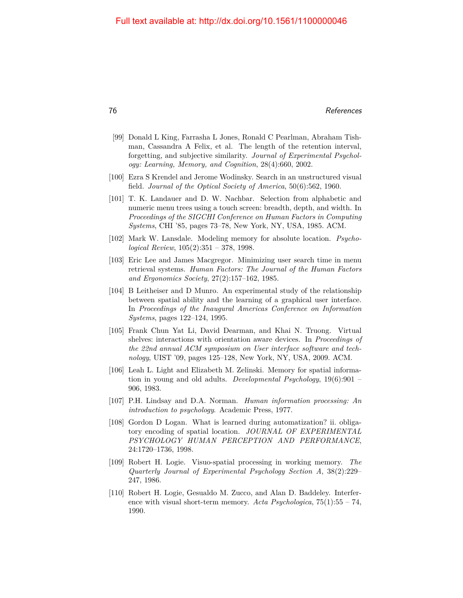- [99] Donald L King, Farrasha L Jones, Ronald C Pearlman, Abraham Tishman, Cassandra A Felix, et al. The length of the retention interval, forgetting, and subjective similarity. *Journal of Experimental Psychology: Learning, Memory, and Cognition*, 28(4):660, 2002.
- [100] Ezra S Krendel and Jerome Wodinsky. Search in an unstructured visual field. *Journal of the Optical Society of America*, 50(6):562, 1960.
- [101] T. K. Landauer and D. W. Nachbar. Selection from alphabetic and numeric menu trees using a touch screen: breadth, depth, and width. In *Proceedings of the SIGCHI Conference on Human Factors in Computing Systems*, CHI '85, pages 73–78, New York, NY, USA, 1985. ACM.
- [102] Mark W. Lansdale. Modeling memory for absolute location. *Psychological Review*, 105(2):351 – 378, 1998.
- [103] Eric Lee and James Macgregor. Minimizing user search time in menu retrieval systems. *Human Factors: The Journal of the Human Factors and Ergonomics Society*, 27(2):157–162, 1985.
- [104] B Leitheiser and D Munro. An experimental study of the relationship between spatial ability and the learning of a graphical user interface. In *Proceedings of the Inaugural Americas Conference on Information Systems*, pages 122–124, 1995.
- [105] Frank Chun Yat Li, David Dearman, and Khai N. Truong. Virtual shelves: interactions with orientation aware devices. In *Proceedings of the 22nd annual ACM symposium on User interface software and technology*, UIST '09, pages 125–128, New York, NY, USA, 2009. ACM.
- [106] Leah L. Light and Elizabeth M. Zelinski. Memory for spatial information in young and old adults. *Developmental Psychology*, 19(6):901 – 906, 1983.
- [107] P.H. Lindsay and D.A. Norman. *Human information processing: An introduction to psychology*. Academic Press, 1977.
- [108] Gordon D Logan. What is learned during automatization? ii. obligatory encoding of spatial location. *JOURNAL OF EXPERIMENTAL PSYCHOLOGY HUMAN PERCEPTION AND PERFORMANCE*, 24:1720–1736, 1998.
- [109] Robert H. Logie. Visuo-spatial processing in working memory. *The Quarterly Journal of Experimental Psychology Section A*, 38(2):229– 247, 1986.
- [110] Robert H. Logie, Gesualdo M. Zucco, and Alan D. Baddeley. Interference with visual short-term memory. *Acta Psychologica*, 75(1):55 – 74, 1990.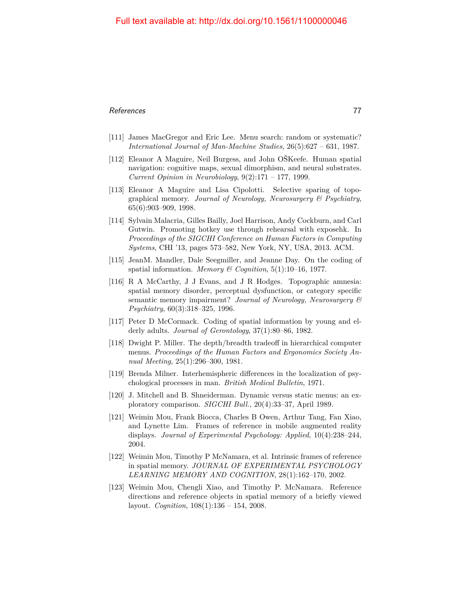- [111] James MacGregor and Eric Lee. Menu search: random or systematic? *International Journal of Man-Machine Studies*, 26(5):627 – 631, 1987.
- [112] Eleanor A Maguire, Neil Burgess, and John OŠKeefe. Human spatial navigation: cognitive maps, sexual dimorphism, and neural substrates. *Current Opinion in Neurobiology*, 9(2):171 – 177, 1999.
- [113] Eleanor A Maguire and Lisa Cipolotti. Selective sparing of topographical memory. *Journal of Neurology, Neurosurgery & Psychiatry*, 65(6):903–909, 1998.
- [114] Sylvain Malacria, Gilles Bailly, Joel Harrison, Andy Cockburn, and Carl Gutwin. Promoting hotkey use through rehearsal with exposehk. In *Proceedings of the SIGCHI Conference on Human Factors in Computing Systems*, CHI '13, pages 573–582, New York, NY, USA, 2013. ACM.
- [115] JeanM. Mandler, Dale Seegmiller, and Jeanne Day. On the coding of spatial information. *Memory & Cognition*, 5(1):10–16, 1977.
- [116] R A McCarthy, J J Evans, and J R Hodges. Topographic amnesia: spatial memory disorder, perceptual dysfunction, or category specific semantic memory impairment? *Journal of Neurology, Neurosurgery & Psychiatry*, 60(3):318–325, 1996.
- [117] Peter D McCormack. Coding of spatial information by young and elderly adults. *Journal of Gerontology*, 37(1):80–86, 1982.
- [118] Dwight P. Miller. The depth/breadth tradeoff in hierarchical computer menus. *Proceedings of the Human Factors and Ergonomics Society Annual Meeting*, 25(1):296–300, 1981.
- [119] Brenda Milner. Interhemispheric differences in the localization of psychological processes in man. *British Medical Bulletin*, 1971.
- [120] J. Mitchell and B. Shneiderman. Dynamic versus static menus: an exploratory comparison. *SIGCHI Bull.*, 20(4):33–37, April 1989.
- [121] Weimin Mou, Frank Biocca, Charles B Owen, Arthur Tang, Fan Xiao, and Lynette Lim. Frames of reference in mobile augmented reality displays. *Journal of Experimental Psychology: Applied*, 10(4):238–244, 2004.
- [122] Weimin Mou, Timothy P McNamara, et al. Intrinsic frames of reference in spatial memory. *JOURNAL OF EXPERIMENTAL PSYCHOLOGY LEARNING MEMORY AND COGNITION*, 28(1):162–170, 2002.
- [123] Weimin Mou, Chengli Xiao, and Timothy P. McNamara. Reference directions and reference objects in spatial memory of a briefly viewed layout. *Cognition*, 108(1):136 – 154, 2008.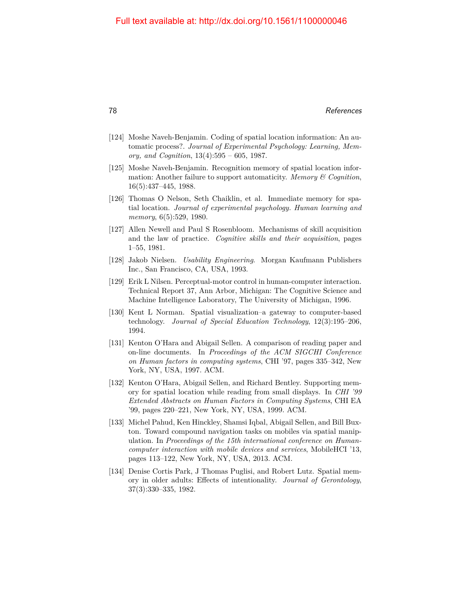#### Full text available at: http://dx.doi.org/10.1561/1100000046

- [124] Moshe Naveh-Benjamin. Coding of spatial location information: An automatic process?. *Journal of Experimental Psychology: Learning, Memory, and Cognition*, 13(4):595 – 605, 1987.
- [125] Moshe Naveh-Benjamin. Recognition memory of spatial location information: Another failure to support automaticity. *Memory & Cognition*, 16(5):437–445, 1988.
- [126] Thomas O Nelson, Seth Chaiklin, et al. Immediate memory for spatial location. *Journal of experimental psychology. Human learning and memory*, 6(5):529, 1980.
- [127] Allen Newell and Paul S Rosenbloom. Mechanisms of skill acquisition and the law of practice. *Cognitive skills and their acquisition*, pages 1–55, 1981.
- [128] Jakob Nielsen. *Usability Engineering*. Morgan Kaufmann Publishers Inc., San Francisco, CA, USA, 1993.
- [129] Erik L Nilsen. Perceptual-motor control in human-computer interaction. Technical Report 37, Ann Arbor, Michigan: The Cognitive Science and Machine Intelligence Laboratory, The University of Michigan, 1996.
- [130] Kent L Norman. Spatial visualization–a gateway to computer-based technology. *Journal of Special Education Technology*, 12(3):195–206, 1994.
- [131] Kenton O'Hara and Abigail Sellen. A comparison of reading paper and on-line documents. In *Proceedings of the ACM SIGCHI Conference on Human factors in computing systems*, CHI '97, pages 335–342, New York, NY, USA, 1997. ACM.
- [132] Kenton O'Hara, Abigail Sellen, and Richard Bentley. Supporting memory for spatial location while reading from small displays. In *CHI '99 Extended Abstracts on Human Factors in Computing Systems*, CHI EA '99, pages 220–221, New York, NY, USA, 1999. ACM.
- [133] Michel Pahud, Ken Hinckley, Shamsi Iqbal, Abigail Sellen, and Bill Buxton. Toward compound navigation tasks on mobiles via spatial manipulation. In *Proceedings of the 15th international conference on Humancomputer interaction with mobile devices and services*, MobileHCI '13, pages 113–122, New York, NY, USA, 2013. ACM.
- [134] Denise Cortis Park, J Thomas Puglisi, and Robert Lutz. Spatial memory in older adults: Effects of intentionality. *Journal of Gerontology*, 37(3):330–335, 1982.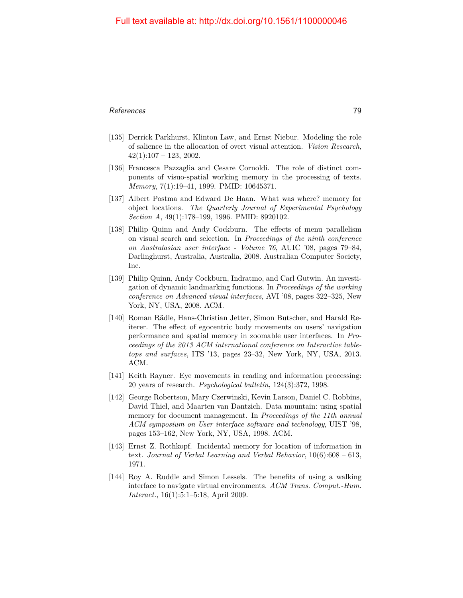- [135] Derrick Parkhurst, Klinton Law, and Ernst Niebur. Modeling the role of salience in the allocation of overt visual attention. *Vision Research*,  $42(1):107 - 123$ , 2002.
- [136] Francesca Pazzaglia and Cesare Cornoldi. The role of distinct components of visuo-spatial working memory in the processing of texts. *Memory*, 7(1):19–41, 1999. PMID: 10645371.
- [137] Albert Postma and Edward De Haan. What was where? memory for object locations. *The Quarterly Journal of Experimental Psychology Section A*, 49(1):178–199, 1996. PMID: 8920102.
- [138] Philip Quinn and Andy Cockburn. The effects of menu parallelism on visual search and selection. In *Proceedings of the ninth conference on Australasian user interface - Volume 76*, AUIC '08, pages 79–84, Darlinghurst, Australia, Australia, 2008. Australian Computer Society, Inc.
- [139] Philip Quinn, Andy Cockburn, Indratmo, and Carl Gutwin. An investigation of dynamic landmarking functions. In *Proceedings of the working conference on Advanced visual interfaces*, AVI '08, pages 322–325, New York, NY, USA, 2008. ACM.
- [140] Roman Rädle, Hans-Christian Jetter, Simon Butscher, and Harald Reiterer. The effect of egocentric body movements on users' navigation performance and spatial memory in zoomable user interfaces. In *Proceedings of the 2013 ACM international conference on Interactive tabletops and surfaces*, ITS '13, pages 23–32, New York, NY, USA, 2013. ACM.
- [141] Keith Rayner. Eye movements in reading and information processing: 20 years of research. *Psychological bulletin*, 124(3):372, 1998.
- [142] George Robertson, Mary Czerwinski, Kevin Larson, Daniel C. Robbins, David Thiel, and Maarten van Dantzich. Data mountain: using spatial memory for document management. In *Proceedings of the 11th annual ACM symposium on User interface software and technology*, UIST '98, pages 153–162, New York, NY, USA, 1998. ACM.
- [143] Ernst Z. Rothkopf. Incidental memory for location of information in text. *Journal of Verbal Learning and Verbal Behavior*, 10(6):608 – 613, 1971.
- [144] Roy A. Ruddle and Simon Lessels. The benefits of using a walking interface to navigate virtual environments. *ACM Trans. Comput.-Hum. Interact.*, 16(1):5:1–5:18, April 2009.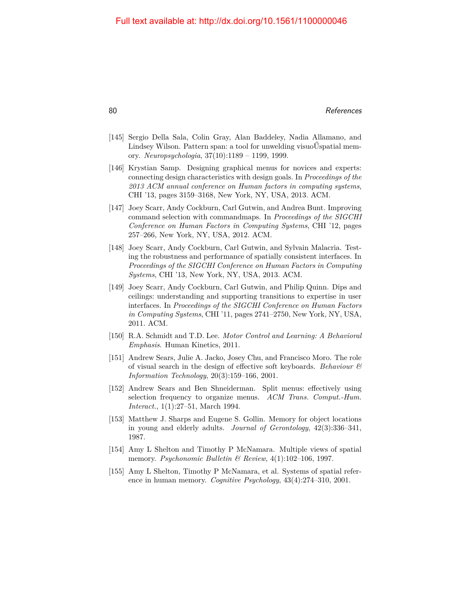- [145] Sergio Della Sala, Colin Gray, Alan Baddeley, Nadia Allamano, and Lindsey Wilson. Pattern span: a tool for unwelding visuoUspatial memory. *Neuropsychologia*, 37(10):1189 – 1199, 1999.
- [146] Krystian Samp. Designing graphical menus for novices and experts: connecting design characteristics with design goals. In *Proceedings of the 2013 ACM annual conference on Human factors in computing systems*, CHI '13, pages 3159–3168, New York, NY, USA, 2013. ACM.
- [147] Joey Scarr, Andy Cockburn, Carl Gutwin, and Andrea Bunt. Improving command selection with commandmaps. In *Proceedings of the SIGCHI Conference on Human Factors in Computing Systems*, CHI '12, pages 257–266, New York, NY, USA, 2012. ACM.
- [148] Joey Scarr, Andy Cockburn, Carl Gutwin, and Sylvain Malacria. Testing the robustness and performance of spatially consistent interfaces. In *Proceedings of the SIGCHI Conference on Human Factors in Computing Systems*, CHI '13, New York, NY, USA, 2013. ACM.
- [149] Joey Scarr, Andy Cockburn, Carl Gutwin, and Philip Quinn. Dips and ceilings: understanding and supporting transitions to expertise in user interfaces. In *Proceedings of the SIGCHI Conference on Human Factors in Computing Systems*, CHI '11, pages 2741–2750, New York, NY, USA, 2011. ACM.
- [150] R.A. Schmidt and T.D. Lee. *Motor Control and Learning: A Behavioral Emphasis*. Human Kinetics, 2011.
- [151] Andrew Sears, Julie A. Jacko, Josey Chu, and Francisco Moro. The role of visual search in the design of effective soft keyboards. *Behaviour & Information Technology*, 20(3):159–166, 2001.
- [152] Andrew Sears and Ben Shneiderman. Split menus: effectively using selection frequency to organize menus. *ACM Trans. Comput.-Hum. Interact.*, 1(1):27–51, March 1994.
- [153] Matthew J. Sharps and Eugene S. Gollin. Memory for object locations in young and elderly adults. *Journal of Gerontology*, 42(3):336–341, 1987.
- [154] Amy L Shelton and Timothy P McNamara. Multiple views of spatial memory. *Psychonomic Bulletin & Review*, 4(1):102–106, 1997.
- [155] Amy L Shelton, Timothy P McNamara, et al. Systems of spatial reference in human memory. *Cognitive Psychology*, 43(4):274–310, 2001.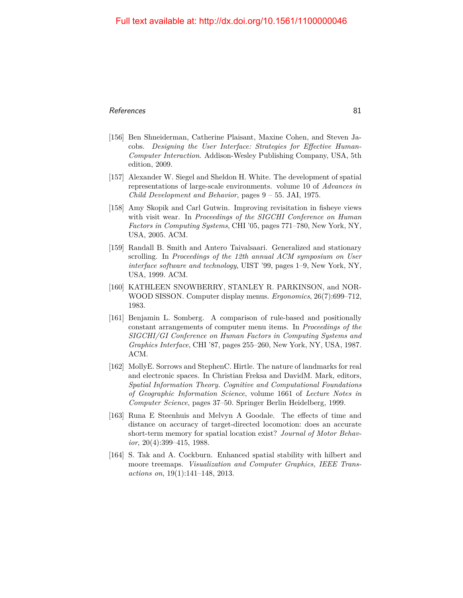- [156] Ben Shneiderman, Catherine Plaisant, Maxine Cohen, and Steven Jacobs. *Designing the User Interface: Strategies for Effective Human-Computer Interaction*. Addison-Wesley Publishing Company, USA, 5th edition, 2009.
- [157] Alexander W. Siegel and Sheldon H. White. The development of spatial representations of large-scale environments. volume 10 of *Advances in Child Development and Behavior*, pages 9 – 55. JAI, 1975.
- [158] Amy Skopik and Carl Gutwin. Improving revisitation in fisheye views with visit wear. In *Proceedings of the SIGCHI Conference on Human Factors in Computing Systems*, CHI '05, pages 771–780, New York, NY, USA, 2005. ACM.
- [159] Randall B. Smith and Antero Taivalsaari. Generalized and stationary scrolling. In *Proceedings of the 12th annual ACM symposium on User interface software and technology*, UIST '99, pages 1–9, New York, NY, USA, 1999. ACM.
- [160] KATHLEEN SNOWBERRY, STANLEY R. PARKINSON, and NOR-WOOD SISSON. Computer display menus. *Ergonomics*, 26(7):699–712, 1983.
- [161] Benjamin L. Somberg. A comparison of rule-based and positionally constant arrangements of computer menu items. In *Proceedings of the SIGCHI/GI Conference on Human Factors in Computing Systems and Graphics Interface*, CHI '87, pages 255–260, New York, NY, USA, 1987. ACM.
- [162] MollyE. Sorrows and StephenC. Hirtle. The nature of landmarks for real and electronic spaces. In Christian Freksa and DavidM. Mark, editors, *Spatial Information Theory. Cognitive and Computational Foundations of Geographic Information Science*, volume 1661 of *Lecture Notes in Computer Science*, pages 37–50. Springer Berlin Heidelberg, 1999.
- [163] Runa E Steenhuis and Melvyn A Goodale. The effects of time and distance on accuracy of target-directed locomotion: does an accurate short-term memory for spatial location exist? *Journal of Motor Behavior*, 20(4):399–415, 1988.
- [164] S. Tak and A. Cockburn. Enhanced spatial stability with hilbert and moore treemaps. *Visualization and Computer Graphics, IEEE Transactions on*, 19(1):141–148, 2013.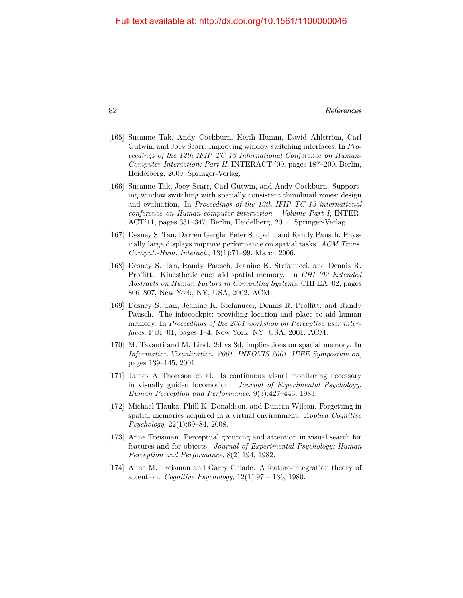- [165] Susanne Tak, Andy Cockburn, Keith Humm, David Ahlström, Carl Gutwin, and Joey Scarr. Improving window switching interfaces. In *Proceedings of the 12th IFIP TC 13 International Conference on Human-Computer Interaction: Part II*, INTERACT '09, pages 187–200, Berlin, Heidelberg, 2009. Springer-Verlag.
- [166] Susanne Tak, Joey Scarr, Carl Gutwin, and Andy Cockburn. Supporting window switching with spatially consistent thumbnail zones: design and evaluation. In *Proceedings of the 13th IFIP TC 13 international conference on Human-computer interaction - Volume Part I*, INTER-ACT'11, pages 331–347, Berlin, Heidelberg, 2011. Springer-Verlag.
- [167] Desney S. Tan, Darren Gergle, Peter Scupelli, and Randy Pausch. Physically large displays improve performance on spatial tasks. *ACM Trans. Comput.-Hum. Interact.*, 13(1):71–99, March 2006.
- [168] Desney S. Tan, Randy Pausch, Jeanine K. Stefanucci, and Dennis R. Proffitt. Kinesthetic cues aid spatial memory. In *CHI '02 Extended Abstracts on Human Factors in Computing Systems*, CHI EA '02, pages 806–807, New York, NY, USA, 2002. ACM.
- [169] Desney S. Tan, Jeanine K. Stefanucci, Dennis R. Proffitt, and Randy Pausch. The infocockpit: providing location and place to aid human memory. In *Proceedings of the 2001 workshop on Perceptive user interfaces*, PUI '01, pages 1–4, New York, NY, USA, 2001. ACM.
- [170] M. Tavanti and M. Lind. 2d vs 3d, implications on spatial memory. In *Information Visualization, 2001. INFOVIS 2001. IEEE Symposium on*, pages 139–145, 2001.
- [171] James A Thomson et al. Is continuous visual monitoring necessary in visually guided locomotion. *Journal of Experimental Psychology: Human Perception and Performance*, 9(3):427–443, 1983.
- [172] Michael Tlauka, Phill K. Donaldson, and Duncan Wilson. Forgetting in spatial memories acquired in a virtual environment. *Applied Cognitive Psychology*, 22(1):69–84, 2008.
- [173] Anne Treisman. Perceptual grouping and attention in visual search for features and for objects. *Journal of Experimental Psychology: Human Perception and Performance*, 8(2):194, 1982.
- [174] Anne M. Treisman and Garry Gelade. A feature-integration theory of attention. *Cognitive Psychology*, 12(1):97 – 136, 1980.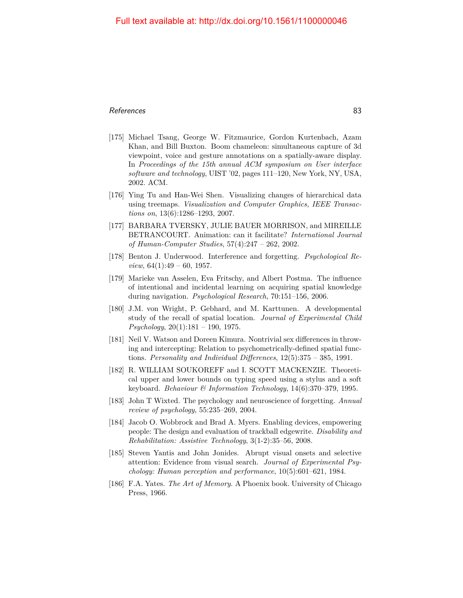- [175] Michael Tsang, George W. Fitzmaurice, Gordon Kurtenbach, Azam Khan, and Bill Buxton. Boom chameleon: simultaneous capture of 3d viewpoint, voice and gesture annotations on a spatially-aware display. In *Proceedings of the 15th annual ACM symposium on User interface software and technology*, UIST '02, pages 111–120, New York, NY, USA, 2002. ACM.
- [176] Ying Tu and Han-Wei Shen. Visualizing changes of hierarchical data using treemaps. *Visualization and Computer Graphics, IEEE Transactions on*, 13(6):1286–1293, 2007.
- [177] BARBARA TVERSKY, JULIE BAUER MORRISON, and MIREILLE BETRANCOURT. Animation: can it facilitate? *International Journal of Human-Computer Studies*, 57(4):247 – 262, 2002.
- [178] Benton J. Underwood. Interference and forgetting. *Psychological Review*,  $64(1):49 - 60$ , 1957.
- [179] Marieke van Asselen, Eva Fritschy, and Albert Postma. The influence of intentional and incidental learning on acquiring spatial knowledge during navigation. *Psychological Research*, 70:151–156, 2006.
- [180] J.M. von Wright, P. Gebhard, and M. Karttunen. A developmental study of the recall of spatial location. *Journal of Experimental Child Psychology*, 20(1):181 – 190, 1975.
- [181] Neil V. Watson and Doreen Kimura. Nontrivial sex differences in throwing and intercepting: Relation to psychometrically-defined spatial functions. *Personality and Individual Differences*, 12(5):375 – 385, 1991.
- [182] R. WILLIAM SOUKOREFF and I. SCOTT MACKENZIE. Theoretical upper and lower bounds on typing speed using a stylus and a soft keyboard. *Behaviour & Information Technology*, 14(6):370–379, 1995.
- [183] John T Wixted. The psychology and neuroscience of forgetting. *Annual review of psychology*, 55:235–269, 2004.
- [184] Jacob O. Wobbrock and Brad A. Myers. Enabling devices, empowering people: The design and evaluation of trackball edgewrite. *Disability and Rehabilitation: Assistive Technology*, 3(1-2):35–56, 2008.
- [185] Steven Yantis and John Jonides. Abrupt visual onsets and selective attention: Evidence from visual search. *Journal of Experimental Psychology: Human perception and performance*, 10(5):601–621, 1984.
- [186] F.A. Yates. *The Art of Memory*. A Phoenix book. University of Chicago Press, 1966.